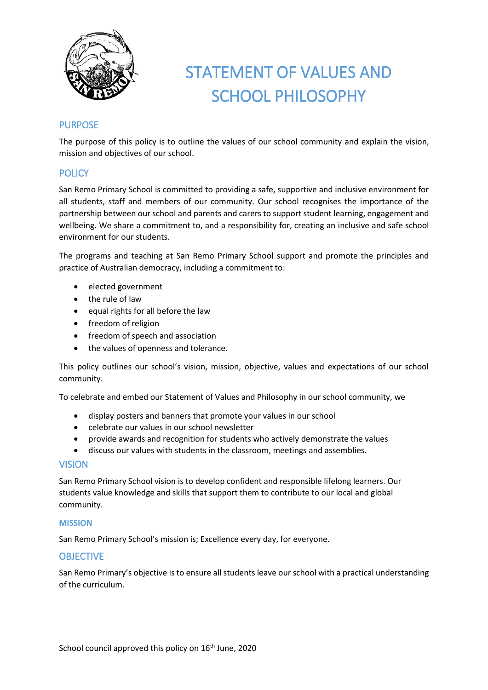

# STATEMENT OF VALUES AND SCHOOL PHILOSOPHY

# PURPOSE

The purpose of this policy is to outline the values of our school community and explain the vision, mission and objectives of our school.

# **POLICY**

San Remo Primary School is committed to providing a safe, supportive and inclusive environment for all students, staff and members of our community. Our school recognises the importance of the partnership between our school and parents and carers to support student learning, engagement and wellbeing. We share a commitment to, and a responsibility for, creating an inclusive and safe school environment for our students.

The programs and teaching at San Remo Primary School support and promote the principles and practice of Australian democracy, including a commitment to:

- elected government
- the rule of law
- $\bullet$  equal rights for all before the law
- **•** freedom of religion
- freedom of speech and association
- the values of openness and tolerance.

This policy outlines our school's vision, mission, objective, values and expectations of our school community.

To celebrate and embed our Statement of Values and Philosophy in our school community, we

- display posters and banners that promote your values in our school
- celebrate our values in our school newsletter
- provide awards and recognition for students who actively demonstrate the values
- discuss our values with students in the classroom, meetings and assemblies.

## VISION

San Remo Primary School vision is to develop confident and responsible lifelong learners. Our students value knowledge and skills that support them to contribute to our local and global community.

#### **MISSION**

San Remo Primary School's mission is; Excellence every day, for everyone.

## **OBJECTIVE**

San Remo Primary's objective is to ensure all students leave our school with a practical understanding of the curriculum.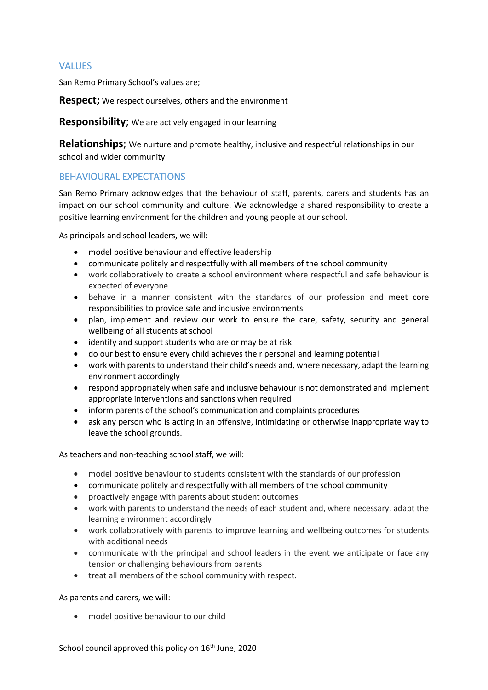# **VALUES**

San Remo Primary School's values are;

**Respect;** We respect ourselves, others and the environment

**Responsibility**; We are actively engaged in our learning

**Relationships**; We nurture and promote healthy, inclusive and respectful relationships in our school and wider community

## BEHAVIOURAL EXPECTATIONS

San Remo Primary acknowledges that the behaviour of staff, parents, carers and students has an impact on our school community and culture. We acknowledge a shared responsibility to create a positive learning environment for the children and young people at our school.

As principals and school leaders, we will:

- model positive behaviour and effective leadership
- communicate politely and respectfully with all members of the school community
- work collaboratively to create a school environment where respectful and safe behaviour is expected of everyone
- behave in a manner consistent with the standards of our profession and meet core responsibilities to provide safe and inclusive environments
- plan, implement and review our work to ensure the care, safety, security and general wellbeing of all students at school
- identify and support students who are or may be at risk
- do our best to ensure every child achieves their personal and learning potential
- work with parents to understand their child's needs and, where necessary, adapt the learning environment accordingly
- respond appropriately when safe and inclusive behaviour is not demonstrated and implement appropriate interventions and sanctions when required
- inform parents of the school's communication and complaints procedures
- ask any person who is acting in an offensive, intimidating or otherwise inappropriate way to leave the school grounds.

As teachers and non-teaching school staff, we will:

- model positive behaviour to students consistent with the standards of our profession
- communicate politely and respectfully with all members of the school community
- proactively engage with parents about student outcomes
- work with parents to understand the needs of each student and, where necessary, adapt the learning environment accordingly
- work collaboratively with parents to improve learning and wellbeing outcomes for students with additional needs
- communicate with the principal and school leaders in the event we anticipate or face any tension or challenging behaviours from parents
- treat all members of the school community with respect.

As parents and carers, we will:

• model positive behaviour to our child

School council approved this policy on 16<sup>th</sup> June, 2020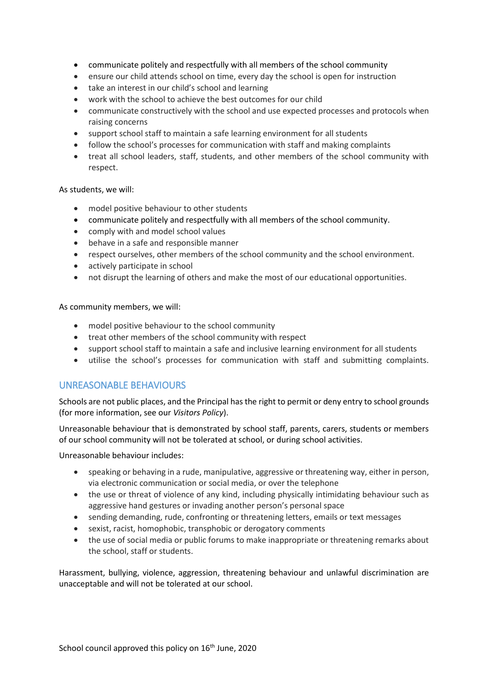- communicate politely and respectfully with all members of the school community
- ensure our child attends school on time, every day the school is open for instruction
- take an interest in our child's school and learning
- work with the school to achieve the best outcomes for our child
- communicate constructively with the school and use expected processes and protocols when raising concerns
- support school staff to maintain a safe learning environment for all students
- follow the school's processes for communication with staff and making complaints
- treat all school leaders, staff, students, and other members of the school community with respect.

#### As students, we will:

- model positive behaviour to other students
- communicate politely and respectfully with all members of the school community.
- comply with and model school values
- behave in a safe and responsible manner
- respect ourselves, other members of the school community and the school environment.
- actively participate in school
- not disrupt the learning of others and make the most of our educational opportunities.

As community members, we will:

- model positive behaviour to the school community
- treat other members of the school community with respect
- support school staff to maintain a safe and inclusive learning environment for all students
- utilise the school's processes for communication with staff and submitting complaints.

## UNREASONABLE BEHAVIOURS

Schools are not public places, and the Principal has the right to permit or deny entry to school grounds (for more information, see our *Visitors Policy*).

Unreasonable behaviour that is demonstrated by school staff, parents, carers, students or members of our school community will not be tolerated at school, or during school activities.

Unreasonable behaviour includes:

- speaking or behaving in a rude, manipulative, aggressive or threatening way, either in person, via electronic communication or social media, or over the telephone
- the use or threat of violence of any kind, including physically intimidating behaviour such as aggressive hand gestures or invading another person's personal space
- sending demanding, rude, confronting or threatening letters, emails or text messages
- sexist, racist, homophobic, transphobic or derogatory comments
- the use of social media or public forums to make inappropriate or threatening remarks about the school, staff or students.

Harassment, bullying, violence, aggression, threatening behaviour and unlawful discrimination are unacceptable and will not be tolerated at our school.